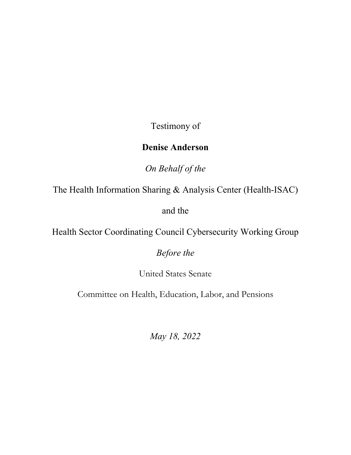Testimony of

# **Denise Anderson**

*On Behalf of the* 

The Health Information Sharing & Analysis Center (Health-ISAC)

and the

Health Sector Coordinating Council Cybersecurity Working Group

*Before the* 

United States Senate

Committee on Health, Education, Labor, and Pensions

*May 18, 2022*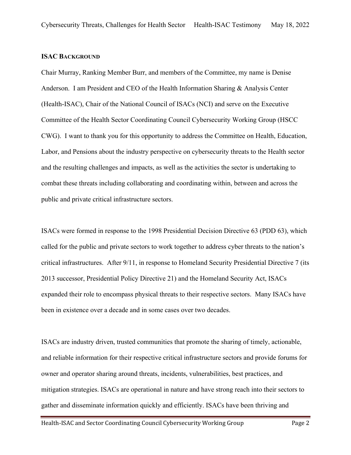### **ISAC BACKGROUND**

Chair Murray, Ranking Member Burr, and members of the Committee, my name is Denise Anderson. I am President and CEO of the Health Information Sharing & Analysis Center (Health-ISAC), Chair of the National Council of ISACs (NCI) and serve on the Executive Committee of the Health Sector Coordinating Council Cybersecurity Working Group (HSCC CWG). I want to thank you for this opportunity to address the Committee on Health, Education, Labor, and Pensions about the industry perspective on cybersecurity threats to the Health sector and the resulting challenges and impacts, as well as the activities the sector is undertaking to combat these threats including collaborating and coordinating within, between and across the public and private critical infrastructure sectors.

ISACs were formed in response to the 1998 Presidential Decision Directive 63 (PDD 63), which called for the public and private sectors to work together to address cyber threats to the nation's critical infrastructures. After 9/11, in response to Homeland Security Presidential Directive 7 (its 2013 successor, Presidential Policy Directive 21) and the Homeland Security Act, ISACs expanded their role to encompass physical threats to their respective sectors. Many ISACs have been in existence over a decade and in some cases over two decades.

ISACs are industry driven, trusted communities that promote the sharing of timely, actionable, and reliable information for their respective critical infrastructure sectors and provide forums for owner and operator sharing around threats, incidents, vulnerabilities, best practices, and mitigation strategies. ISACs are operational in nature and have strong reach into their sectors to gather and disseminate information quickly and efficiently. ISACs have been thriving and

Health-ISAC and Sector Coordinating Council Cybersecurity Working Group Page 2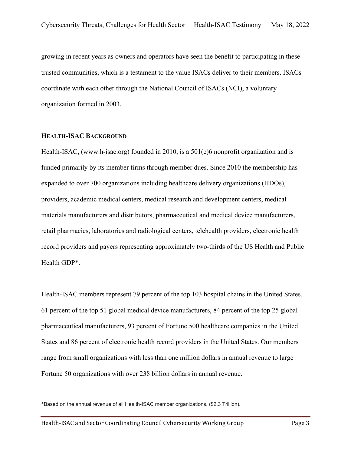growing in recent years as owners and operators have seen the benefit to participating in these trusted communities, which is a testament to the value ISACs deliver to their members. ISACs coordinate with each other through the National Council of ISACs (NCI), a voluntary organization formed in 2003.

#### **HEALTH-ISAC BACKGROUND**

Health-ISAC, (www.h-isac.org) founded in 2010, is a 501(c)6 nonprofit organization and is funded primarily by its member firms through member dues. Since 2010 the membership has expanded to over 700 organizations including healthcare delivery organizations (HDOs), providers, academic medical centers, medical research and development centers, medical materials manufacturers and distributors, pharmaceutical and medical device manufacturers, retail pharmacies, laboratories and radiological centers, telehealth providers, electronic health record providers and payers representing approximately two-thirds of the US Health and Public Health GDP\*.

Health-ISAC members represent 79 percent of the top 103 hospital chains in the United States, 61 percent of the top 51 global medical device manufacturers, 84 percent of the top 25 global pharmaceutical manufacturers, 93 percent of Fortune 500 healthcare companies in the United States and 86 percent of electronic health record providers in the United States. Our members range from small organizations with less than one million dollars in annual revenue to large Fortune 50 organizations with over 238 billion dollars in annual revenue.

<sup>\*</sup>Based on the annual revenue of all Health-ISAC member organizations. (\$2.3 Trillion).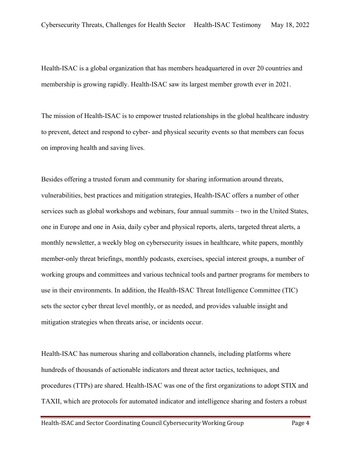Health-ISAC is a global organization that has members headquartered in over 20 countries and membership is growing rapidly. Health-ISAC saw its largest member growth ever in 2021.

The mission of Health-ISAC is to empower trusted relationships in the global healthcare industry to prevent, detect and respond to cyber- and physical security events so that members can focus on improving health and saving lives.

Besides offering a trusted forum and community for sharing information around threats, vulnerabilities, best practices and mitigation strategies, Health-ISAC offers a number of other services such as global workshops and webinars, four annual summits – two in the United States, one in Europe and one in Asia, daily cyber and physical reports, alerts, targeted threat alerts, a monthly newsletter, a weekly blog on cybersecurity issues in healthcare, white papers, monthly member-only threat briefings, monthly podcasts, exercises, special interest groups, a number of working groups and committees and various technical tools and partner programs for members to use in their environments. In addition, the Health-ISAC Threat Intelligence Committee (TIC) sets the sector cyber threat level monthly, or as needed, and provides valuable insight and mitigation strategies when threats arise, or incidents occur.

Health-ISAC has numerous sharing and collaboration channels, including platforms where hundreds of thousands of actionable indicators and threat actor tactics, techniques, and procedures (TTPs) are shared. Health-ISAC was one of the first organizations to adopt STIX and TAXII, which are protocols for automated indicator and intelligence sharing and fosters a robust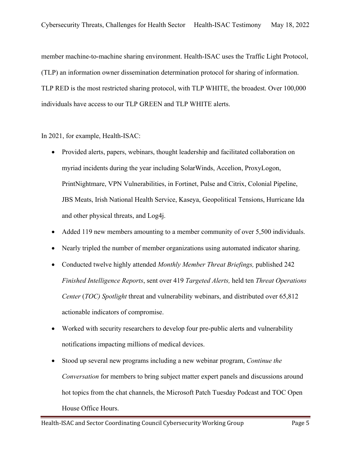member machine-to-machine sharing environment. Health-ISAC uses the Traffic Light Protocol, (TLP) an information owner dissemination determination protocol for sharing of information. TLP RED is the most restricted sharing protocol, with TLP WHITE, the broadest. Over 100,000 individuals have access to our TLP GREEN and TLP WHITE alerts.

In 2021, for example, Health-ISAC:

- Provided alerts, papers, webinars, thought leadership and facilitated collaboration on myriad incidents during the year including SolarWinds, Accelion, ProxyLogon, PrintNightmare, VPN Vulnerabilities, in Fortinet, Pulse and Citrix, Colonial Pipeline, JBS Meats, Irish National Health Service, Kaseya, Geopolitical Tensions, Hurricane Ida and other physical threats, and Log4j.
- Added 119 new members amounting to a member community of over 5,500 individuals.
- Nearly tripled the number of member organizations using automated indicator sharing.
- Conducted twelve highly attended *Monthly Member Threat Briefings,* published 242 *Finished Intelligence Reports*, sent over 419 *Targeted Alerts,* held ten *Threat Operations Center* (*TOC) Spotlight* threat and vulnerability webinars, and distributed over 65,812 actionable indicators of compromise.
- Worked with security researchers to develop four pre-public alerts and vulnerability notifications impacting millions of medical devices.
- Stood up several new programs including a new webinar program, *Continue the Conversation* for members to bring subject matter expert panels and discussions around hot topics from the chat channels, the Microsoft Patch Tuesday Podcast and TOC Open House Office Hours.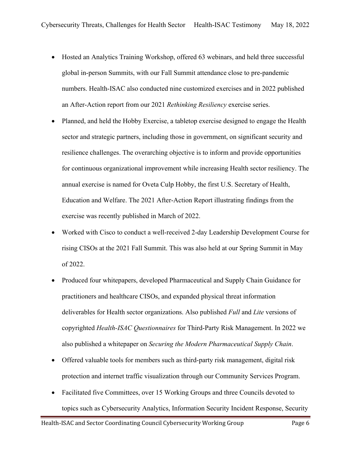- Hosted an Analytics Training Workshop, offered 63 webinars, and held three successful global in-person Summits, with our Fall Summit attendance close to pre-pandemic numbers. Health-ISAC also conducted nine customized exercises and in 2022 published an After-Action report from our 2021 *Rethinking Resiliency* exercise series.
- Planned, and held the Hobby Exercise, a tabletop exercise designed to engage the Health sector and strategic partners, including those in government, on significant security and resilience challenges. The overarching objective is to inform and provide opportunities for continuous organizational improvement while increasing Health sector resiliency. The annual exercise is named for Oveta Culp Hobby, the first U.S. Secretary of Health, Education and Welfare. The 2021 After-Action Report illustrating findings from the exercise was recently published in March of 2022.
- Worked with Cisco to conduct a well-received 2-day Leadership Development Course for rising CISOs at the 2021 Fall Summit. This was also held at our Spring Summit in May of 2022.
- Produced four whitepapers, developed Pharmaceutical and Supply Chain Guidance for practitioners and healthcare CISOs, and expanded physical threat information deliverables for Health sector organizations. Also published *Full* and *Lite* versions of copyrighted *Health-ISAC Questionnaires* for Third-Party Risk Management. In 2022 we also published a whitepaper on *Securing the Modern Pharmaceutical Supply Chain*.
- Offered valuable tools for members such as third-party risk management, digital risk protection and internet traffic visualization through our Community Services Program.
- Facilitated five Committees, over 15 Working Groups and three Councils devoted to topics such as Cybersecurity Analytics, Information Security Incident Response, Security

Health-ISAC and Sector Coordinating Council Cybersecurity Working Group Page 6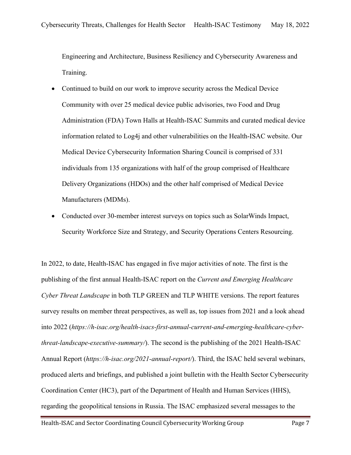Engineering and Architecture, Business Resiliency and Cybersecurity Awareness and Training.

- Continued to build on our work to improve security across the Medical Device Community with over 25 medical device public advisories, two Food and Drug Administration (FDA) Town Halls at Health-ISAC Summits and curated medical device information related to Log4j and other vulnerabilities on the Health-ISAC website. Our Medical Device Cybersecurity Information Sharing Council is comprised of 331 individuals from 135 organizations with half of the group comprised of Healthcare Delivery Organizations (HDOs) and the other half comprised of Medical Device Manufacturers (MDMs).
- Conducted over 30-member interest surveys on topics such as SolarWinds Impact, Security Workforce Size and Strategy, and Security Operations Centers Resourcing.

In 2022, to date, Health-ISAC has engaged in five major activities of note. The first is the publishing of the first annual Health-ISAC report on the *Current and Emerging Healthcare Cyber Threat Landscape* in both TLP GREEN and TLP WHITE versions. The report features survey results on member threat perspectives, as well as, top issues from 2021 and a look ahead into 2022 (*https://h-isac.org/health-isacs-first-annual-current-and-emerging-healthcare-cyberthreat-landscape-executive-summary/*). The second is the publishing of the 2021 Health-ISAC Annual Report (*https://h-isac.org/2021-annual-report/*). Third, the ISAC held several webinars, produced alerts and briefings, and published a joint bulletin with the Health Sector Cybersecurity Coordination Center (HC3), part of the Department of Health and Human Services (HHS), regarding the geopolitical tensions in Russia. The ISAC emphasized several messages to the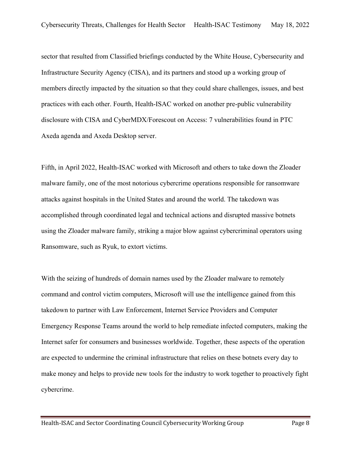sector that resulted from Classified briefings conducted by the White House, Cybersecurity and Infrastructure Security Agency (CISA), and its partners and stood up a working group of members directly impacted by the situation so that they could share challenges, issues, and best practices with each other. Fourth, Health-ISAC worked on another pre-public vulnerability disclosure with CISA and CyberMDX/Forescout on Access: 7 vulnerabilities found in PTC Axeda agenda and Axeda Desktop server.

Fifth, in April 2022, Health-ISAC worked with Microsoft and others to take down the Zloader malware family, one of the most notorious cybercrime operations responsible for ransomware attacks against hospitals in the United States and around the world. The takedown was accomplished through coordinated legal and technical actions and disrupted massive botnets using the Zloader malware family, striking a major blow against cybercriminal operators using Ransomware, such as Ryuk, to extort victims.

With the seizing of hundreds of domain names used by the Zloader malware to remotely command and control victim computers, Microsoft will use the intelligence gained from this takedown to partner with Law Enforcement, Internet Service Providers and Computer Emergency Response Teams around the world to help remediate infected computers, making the Internet safer for consumers and businesses worldwide. Together, these aspects of the operation are expected to undermine the criminal infrastructure that relies on these botnets every day to make money and helps to provide new tools for the industry to work together to proactively fight cybercrime.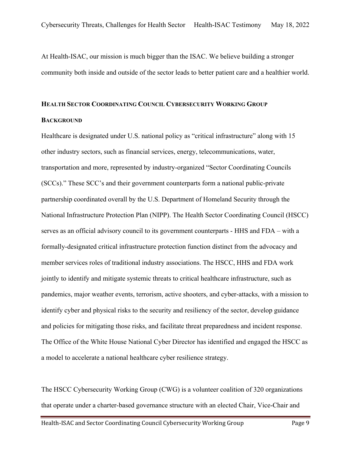At Health-ISAC, our mission is much bigger than the ISAC. We believe building a stronger community both inside and outside of the sector leads to better patient care and a healthier world.

### **HEALTH SECTOR COORDINATING COUNCIL CYBERSECURITY WORKING GROUP**

#### **BACKGROUND**

Healthcare is designated under U.S. national policy as "critical infrastructure" along with 15 other industry sectors, such as financial services, energy, telecommunications, water, transportation and more, represented by industry-organized "Sector Coordinating Councils (SCCs)." These SCC's and their government counterparts form a national public-private partnership coordinated overall by the U.S. Department of Homeland Security through the National Infrastructure Protection Plan (NIPP). The Health Sector Coordinating Council (HSCC) serves as an official advisory council to its government counterparts - HHS and FDA – with a formally-designated critical infrastructure protection function distinct from the advocacy and member services roles of traditional industry associations. The HSCC, HHS and FDA work jointly to identify and mitigate systemic threats to critical healthcare infrastructure, such as pandemics, major weather events, terrorism, active shooters, and cyber-attacks, with a mission to identify cyber and physical risks to the security and resiliency of the sector, develop guidance and policies for mitigating those risks, and facilitate threat preparedness and incident response. The Office of the White House National Cyber Director has identified and engaged the HSCC as a model to accelerate a national healthcare cyber resilience strategy.

The HSCC Cybersecurity Working Group (CWG) is a volunteer coalition of 320 organizations that operate under a charter-based governance structure with an elected Chair, Vice-Chair and

Health-ISAC and Sector Coordinating Council Cybersecurity Working Group Page 9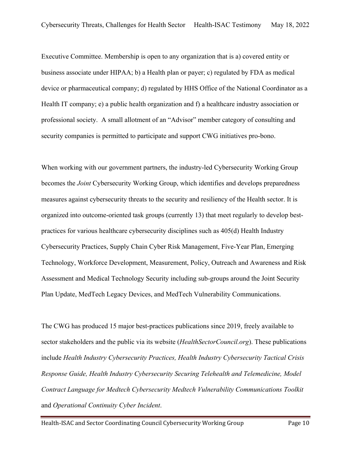Executive Committee. Membership is open to any organization that is a) covered entity or business associate under HIPAA; b) a Health plan or payer; c) regulated by FDA as medical device or pharmaceutical company; d) regulated by HHS Office of the National Coordinator as a Health IT company; e) a public health organization and f) a healthcare industry association or professional society. A small allotment of an "Advisor" member category of consulting and security companies is permitted to participate and support CWG initiatives pro-bono.

When working with our government partners, the industry-led Cybersecurity Working Group becomes the *Joint* Cybersecurity Working Group, which identifies and develops preparedness measures against cybersecurity threats to the security and resiliency of the Health sector. It is organized into outcome-oriented task groups (currently 13) that meet regularly to develop bestpractices for various healthcare cybersecurity disciplines such as 405(d) Health Industry Cybersecurity Practices, Supply Chain Cyber Risk Management, Five-Year Plan, Emerging Technology, Workforce Development, Measurement, Policy, Outreach and Awareness and Risk Assessment and Medical Technology Security including sub-groups around the Joint Security Plan Update, MedTech Legacy Devices, and MedTech Vulnerability Communications.

The CWG has produced 15 major best-practices publications since 2019, freely available to sector stakeholders and the public via its website (*HealthSectorCouncil.org*). These publications include *Health Industry Cybersecurity Practices, Health Industry Cybersecurity Tactical Crisis Response Guide, Health Industry Cybersecurity Securing Telehealth and Telemedicine, Model Contract Language for Medtech Cybersecurity Medtech Vulnerability Communications Toolkit*  and *Operational Continuity Cyber Incident*.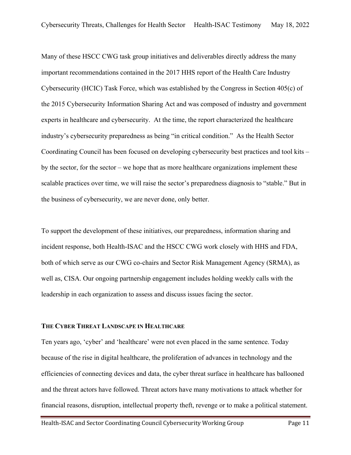Many of these HSCC CWG task group initiatives and deliverables directly address the many important recommendations contained in the 2017 HHS report of the Health Care Industry Cybersecurity (HCIC) Task Force, which was established by the Congress in Section 405(c) of the 2015 Cybersecurity Information Sharing Act and was composed of industry and government experts in healthcare and cybersecurity. At the time, the report characterized the healthcare industry's cybersecurity preparedness as being "in critical condition." As the Health Sector Coordinating Council has been focused on developing cybersecurity best practices and tool kits – by the sector, for the sector – we hope that as more healthcare organizations implement these scalable practices over time, we will raise the sector's preparedness diagnosis to "stable." But in the business of cybersecurity, we are never done, only better.

To support the development of these initiatives, our preparedness, information sharing and incident response, both Health-ISAC and the HSCC CWG work closely with HHS and FDA, both of which serve as our CWG co-chairs and Sector Risk Management Agency (SRMA), as well as, CISA. Our ongoing partnership engagement includes holding weekly calls with the leadership in each organization to assess and discuss issues facing the sector.

#### **THE CYBER THREAT LANDSCAPE IN HEALTHCARE**

Ten years ago, 'cyber' and 'healthcare' were not even placed in the same sentence. Today because of the rise in digital healthcare, the proliferation of advances in technology and the efficiencies of connecting devices and data, the cyber threat surface in healthcare has ballooned and the threat actors have followed. Threat actors have many motivations to attack whether for financial reasons, disruption, intellectual property theft, revenge or to make a political statement.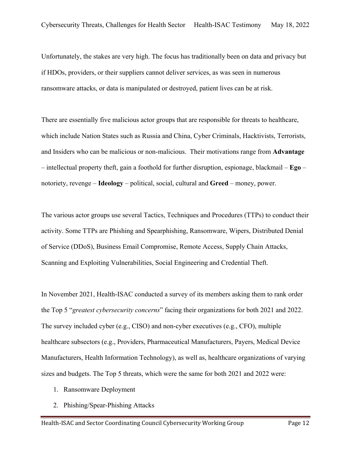Unfortunately, the stakes are very high. The focus has traditionally been on data and privacy but if HDOs, providers, or their suppliers cannot deliver services, as was seen in numerous ransomware attacks, or data is manipulated or destroyed, patient lives can be at risk.

There are essentially five malicious actor groups that are responsible for threats to healthcare, which include Nation States such as Russia and China, Cyber Criminals, Hacktivists, Terrorists, and Insiders who can be malicious or non-malicious. Their motivations range from **Advantage** – intellectual property theft, gain a foothold for further disruption, espionage, blackmail – **Ego** – notoriety, revenge – **Ideology** – political, social, cultural and **Greed** – money, power.

The various actor groups use several Tactics, Techniques and Procedures (TTPs) to conduct their activity. Some TTPs are Phishing and Spearphishing, Ransomware, Wipers, Distributed Denial of Service (DDoS), Business Email Compromise, Remote Access, Supply Chain Attacks, Scanning and Exploiting Vulnerabilities, Social Engineering and Credential Theft.

In November 2021, Health-ISAC conducted a survey of its members asking them to rank order the Top 5 "*greatest cybersecurity concerns*" facing their organizations for both 2021 and 2022. The survey included cyber (e.g., CISO) and non-cyber executives (e.g., CFO), multiple healthcare subsectors (e.g., Providers, Pharmaceutical Manufacturers, Payers, Medical Device Manufacturers, Health Information Technology), as well as, healthcare organizations of varying sizes and budgets. The Top 5 threats, which were the same for both 2021 and 2022 were:

- 1. Ransomware Deployment
- 2. Phishing/Spear-Phishing Attacks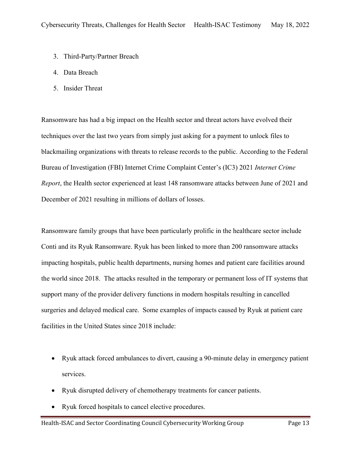- 3. Third-Party/Partner Breach
- 4. Data Breach
- 5. Insider Threat

Ransomware has had a big impact on the Health sector and threat actors have evolved their techniques over the last two years from simply just asking for a payment to unlock files to blackmailing organizations with threats to release records to the public. According to the Federal Bureau of Investigation (FBI) Internet Crime Complaint Center's (IC3) 2021 *Internet Crime Report*, the Health sector experienced at least 148 ransomware attacks between June of 2021 and December of 2021 resulting in millions of dollars of losses.

Ransomware family groups that have been particularly prolific in the healthcare sector include Conti and its Ryuk Ransomware. Ryuk has been linked to more than 200 ransomware attacks impacting hospitals, public health departments, nursing homes and patient care facilities around the world since 2018. The attacks resulted in the temporary or permanent loss of IT systems that support many of the provider delivery functions in modern hospitals resulting in cancelled surgeries and delayed medical care. Some examples of impacts caused by Ryuk at patient care facilities in the United States since 2018 include:

- Ryuk attack forced ambulances to divert, causing a 90-minute delay in emergency patient services.
- Ryuk disrupted delivery of chemotherapy treatments for cancer patients.
- Ryuk forced hospitals to cancel elective procedures.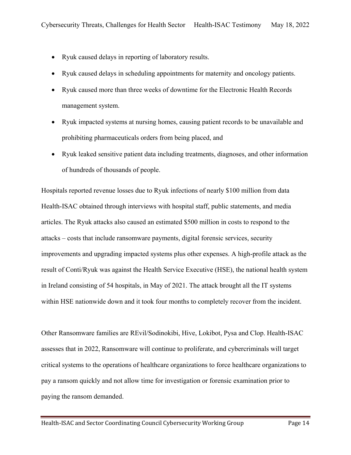- Ryuk caused delays in reporting of laboratory results.
- Ryuk caused delays in scheduling appointments for maternity and oncology patients.
- Ryuk caused more than three weeks of downtime for the Electronic Health Records management system.
- Ryuk impacted systems at nursing homes, causing patient records to be unavailable and prohibiting pharmaceuticals orders from being placed, and
- Ryuk leaked sensitive patient data including treatments, diagnoses, and other information of hundreds of thousands of people.

Hospitals reported revenue losses due to Ryuk infections of nearly \$100 million from data Health-ISAC obtained through interviews with hospital staff, public statements, and media articles. The Ryuk attacks also caused an estimated \$500 million in costs to respond to the attacks – costs that include ransomware payments, digital forensic services, security improvements and upgrading impacted systems plus other expenses. A high-profile attack as the result of Conti/Ryuk was against the Health Service Executive (HSE), the national health system in Ireland consisting of 54 hospitals, in May of 2021. The attack brought all the IT systems within HSE nationwide down and it took four months to completely recover from the incident.

Other Ransomware families are REvil/Sodinokibi, Hive, Lokibot, Pysa and Clop. Health-ISAC assesses that in 2022, Ransomware will continue to proliferate, and cybercriminals will target critical systems to the operations of healthcare organizations to force healthcare organizations to pay a ransom quickly and not allow time for investigation or forensic examination prior to paying the ransom demanded.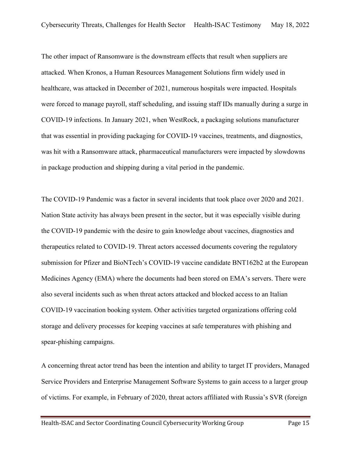The other impact of Ransomware is the downstream effects that result when suppliers are attacked. When Kronos, a Human Resources Management Solutions firm widely used in healthcare, was attacked in December of 2021, numerous hospitals were impacted. Hospitals were forced to manage payroll, staff scheduling, and issuing staff IDs manually during a surge in COVID-19 infections. In January 2021, when WestRock, a packaging solutions manufacturer that was essential in providing packaging for COVID-19 vaccines, treatments, and diagnostics, was hit with a Ransomware attack, pharmaceutical manufacturers were impacted by slowdowns in package production and shipping during a vital period in the pandemic.

The COVID-19 Pandemic was a factor in several incidents that took place over 2020 and 2021. Nation State activity has always been present in the sector, but it was especially visible during the COVID-19 pandemic with the desire to gain knowledge about vaccines, diagnostics and therapeutics related to COVID-19. Threat actors accessed documents covering the regulatory submission for Pfizer and BioNTech's COVID-19 vaccine candidate BNT162b2 at the European Medicines Agency (EMA) where the documents had been stored on EMA's servers. There were also several incidents such as when threat actors attacked and blocked access to an Italian COVID-19 vaccination booking system. Other activities targeted organizations offering cold storage and delivery processes for keeping vaccines at safe temperatures with phishing and spear-phishing campaigns.

A concerning threat actor trend has been the intention and ability to target IT providers, Managed Service Providers and Enterprise Management Software Systems to gain access to a larger group of victims. For example, in February of 2020, threat actors affiliated with Russia's SVR (foreign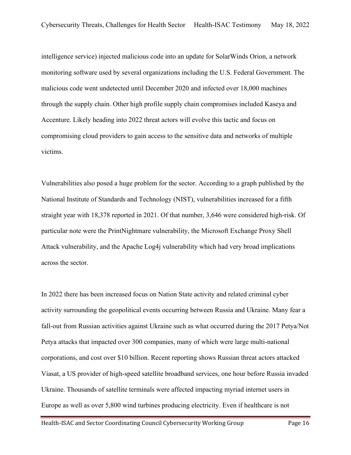intelligence service) injected malicious code into an update for SolarWinds Orion, a network monitoring software used by several organizations including the U.S. Federal Government. The malicious code went undetected until December 2020 and infected over 18,000 machines through the supply chain. Other high profile supply chain compromises included Kaseya and Accenture. Likely heading into 2022 threat actors will evolve this tactic and focus on compromising cloud providers to gain access to the sensitive data and networks of multiple victims.

Vulnerabilities also posed a huge problem for the sector. According to a graph published by the National Institute of Standards and Technology (NIST), vulnerabilities increased for a fifth straight year with 18,378 reported in 2021. Of that number, 3,646 were considered high-risk. Of particular note were the PrintNightmare vulnerability, the Microsoft Exchange Proxy Shell Attack vulnerability, and the Apache Log4j vulnerability which had very broad implications across the sector.

In 2022 there has been increased focus on Nation State activity and related criminal cyber activity surrounding the geopolitical events occurring between Russia and Ukraine. Many fear a fall-out from Russian activities against Ukraine such as what occurred during the 2017 Petya/Not Petya attacks that impacted over 300 companies, many of which were large multi-national corporations, and cost over \$10 billion. Recent reporting shows Russian threat actors attacked Viasat, a US provider of high-speed satellite broadband services, one hour before Russia invaded Ukraine. Thousands of satellite terminals were affected impacting myriad internet users in Europe as well as over 5,800 wind turbines producing electricity. Even if healthcare is not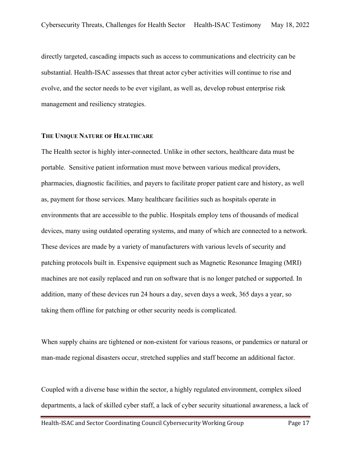directly targeted, cascading impacts such as access to communications and electricity can be substantial. Health-ISAC assesses that threat actor cyber activities will continue to rise and evolve, and the sector needs to be ever vigilant, as well as, develop robust enterprise risk management and resiliency strategies.

#### **THE UNIQUE NATURE OF HEALTHCARE**

The Health sector is highly inter-connected. Unlike in other sectors, healthcare data must be portable. Sensitive patient information must move between various medical providers, pharmacies, diagnostic facilities, and payers to facilitate proper patient care and history, as well as, payment for those services. Many healthcare facilities such as hospitals operate in environments that are accessible to the public. Hospitals employ tens of thousands of medical devices, many using outdated operating systems, and many of which are connected to a network. These devices are made by a variety of manufacturers with various levels of security and patching protocols built in. Expensive equipment such as Magnetic Resonance Imaging (MRI) machines are not easily replaced and run on software that is no longer patched or supported. In addition, many of these devices run 24 hours a day, seven days a week, 365 days a year, so taking them offline for patching or other security needs is complicated.

When supply chains are tightened or non-existent for various reasons, or pandemics or natural or man-made regional disasters occur, stretched supplies and staff become an additional factor.

Coupled with a diverse base within the sector, a highly regulated environment, complex siloed departments, a lack of skilled cyber staff, a lack of cyber security situational awareness, a lack of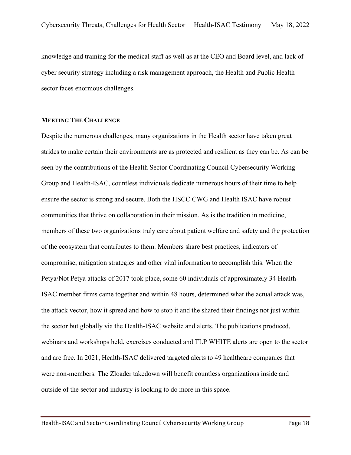knowledge and training for the medical staff as well as at the CEO and Board level, and lack of cyber security strategy including a risk management approach, the Health and Public Health sector faces enormous challenges.

### **MEETING THE CHALLENGE**

Despite the numerous challenges, many organizations in the Health sector have taken great strides to make certain their environments are as protected and resilient as they can be. As can be seen by the contributions of the Health Sector Coordinating Council Cybersecurity Working Group and Health-ISAC, countless individuals dedicate numerous hours of their time to help ensure the sector is strong and secure. Both the HSCC CWG and Health ISAC have robust communities that thrive on collaboration in their mission. As is the tradition in medicine, members of these two organizations truly care about patient welfare and safety and the protection of the ecosystem that contributes to them. Members share best practices, indicators of compromise, mitigation strategies and other vital information to accomplish this. When the Petya/Not Petya attacks of 2017 took place, some 60 individuals of approximately 34 Health-ISAC member firms came together and within 48 hours, determined what the actual attack was, the attack vector, how it spread and how to stop it and the shared their findings not just within the sector but globally via the Health-ISAC website and alerts. The publications produced, webinars and workshops held, exercises conducted and TLP WHITE alerts are open to the sector and are free. In 2021, Health-ISAC delivered targeted alerts to 49 healthcare companies that were non-members. The Zloader takedown will benefit countless organizations inside and outside of the sector and industry is looking to do more in this space.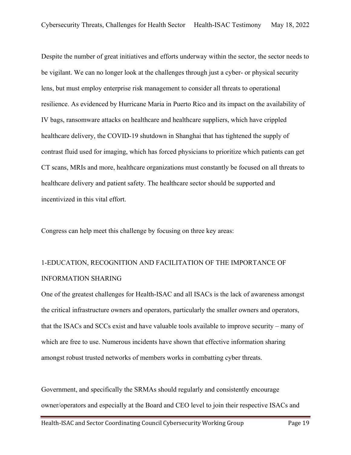Despite the number of great initiatives and efforts underway within the sector, the sector needs to be vigilant. We can no longer look at the challenges through just a cyber- or physical security lens, but must employ enterprise risk management to consider all threats to operational resilience. As evidenced by Hurricane Maria in Puerto Rico and its impact on the availability of IV bags, ransomware attacks on healthcare and healthcare suppliers, which have crippled healthcare delivery, the COVID-19 shutdown in Shanghai that has tightened the supply of contrast fluid used for imaging, which has forced physicians to prioritize which patients can get CT scans, MRIs and more, healthcare organizations must constantly be focused on all threats to healthcare delivery and patient safety. The healthcare sector should be supported and incentivized in this vital effort.

Congress can help meet this challenge by focusing on three key areas:

# 1-EDUCATION, RECOGNITION AND FACILITATION OF THE IMPORTANCE OF INFORMATION SHARING

One of the greatest challenges for Health-ISAC and all ISACs is the lack of awareness amongst the critical infrastructure owners and operators, particularly the smaller owners and operators, that the ISACs and SCCs exist and have valuable tools available to improve security – many of which are free to use. Numerous incidents have shown that effective information sharing amongst robust trusted networks of members works in combatting cyber threats.

Government, and specifically the SRMAs should regularly and consistently encourage owner/operators and especially at the Board and CEO level to join their respective ISACs and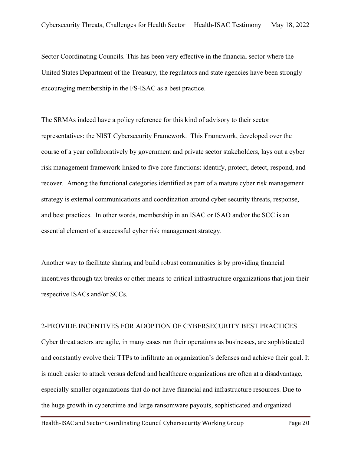Sector Coordinating Councils. This has been very effective in the financial sector where the United States Department of the Treasury, the regulators and state agencies have been strongly encouraging membership in the FS-ISAC as a best practice.

The SRMAs indeed have a policy reference for this kind of advisory to their sector representatives: the NIST Cybersecurity Framework. This Framework, developed over the course of a year collaboratively by government and private sector stakeholders, lays out a cyber risk management framework linked to five core functions: identify, protect, detect, respond, and recover. Among the functional categories identified as part of a mature cyber risk management strategy is external communications and coordination around cyber security threats, response, and best practices. In other words, membership in an ISAC or ISAO and/or the SCC is an essential element of a successful cyber risk management strategy.

Another way to facilitate sharing and build robust communities is by providing financial incentives through tax breaks or other means to critical infrastructure organizations that join their respective ISACs and/or SCCs.

#### 2-PROVIDE INCENTIVES FOR ADOPTION OF CYBERSECURITY BEST PRACTICES

Cyber threat actors are agile, in many cases run their operations as businesses, are sophisticated and constantly evolve their TTPs to infiltrate an organization's defenses and achieve their goal. It is much easier to attack versus defend and healthcare organizations are often at a disadvantage, especially smaller organizations that do not have financial and infrastructure resources. Due to the huge growth in cybercrime and large ransomware payouts, sophisticated and organized